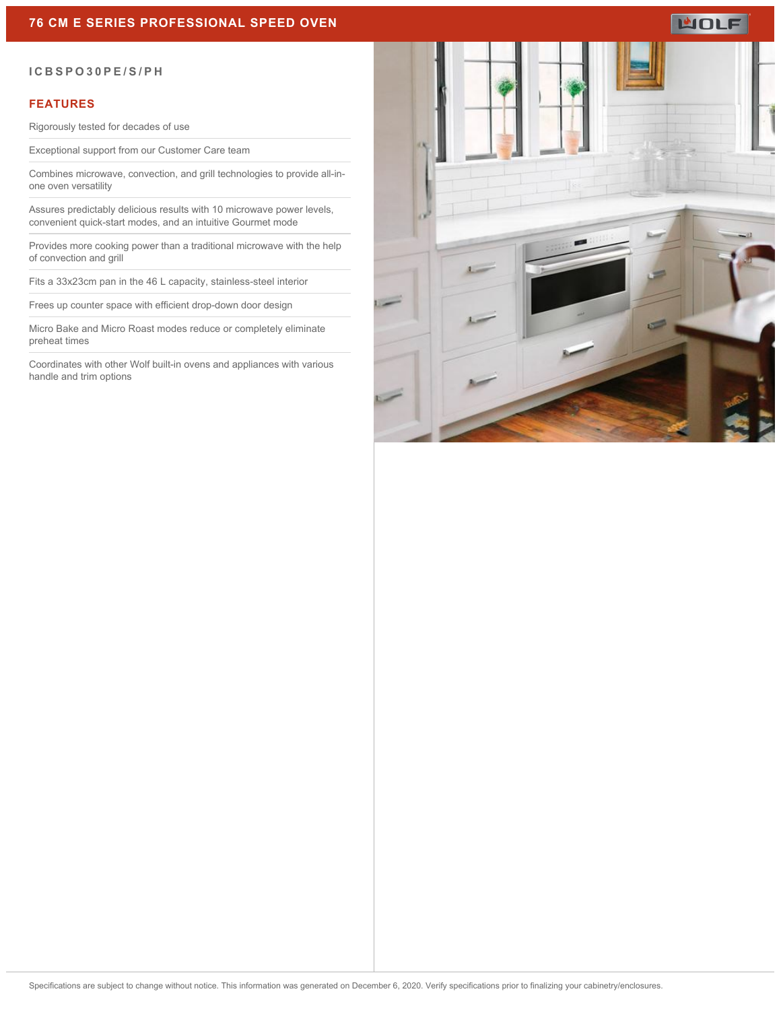## **76 CM E SERIES PROFESSIONAL SPEED OVEN**

# **WOLF**

#### **ICBSPO30PE/S/PH**

#### **FEATURES**

Rigorously tested for decades of use

Exceptional support from our Customer Care team

Combines microwave, convection, and grill technologies to provide all-inone oven versatility

Assures predictably delicious results with 10 microwave power levels, convenient quick-start modes, and an intuitive Gourmet mode

Provides more cooking power than a traditional microwave with the help of convection and grill

Fits a 33x23cm pan in the 46 L capacity, stainless-steel interior

Frees up counter space with efficient drop-down door design

Micro Bake and Micro Roast modes reduce or completely eliminate preheat times

Coordinates with other Wolf built-in ovens and appliances with various handle and trim options